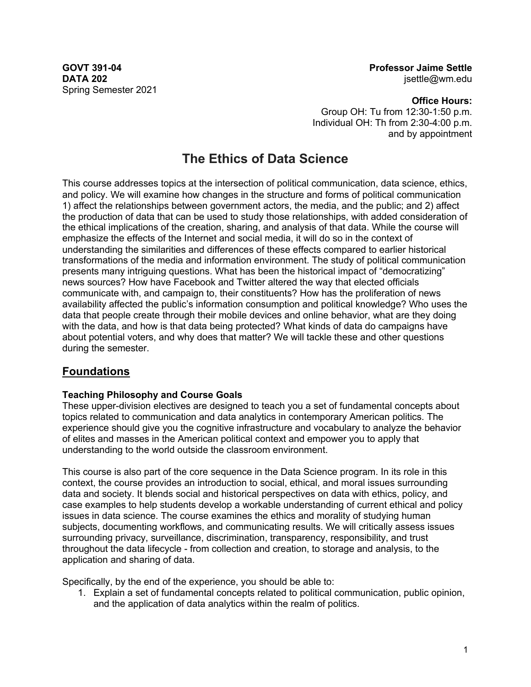**DATA 202** Spring Semester 2021

**GOVT 391-04 Professor Jaime Settle** jsettle@wm.edu

> **Office Hours:** Group OH: Tu from 12:30-1:50 p.m. Individual OH: Th from 2:30-4:00 p.m. and by appointment

# **The Ethics of Data Science**

This course addresses topics at the intersection of political communication, data science, ethics, and policy. We will examine how changes in the structure and forms of political communication 1) affect the relationships between government actors, the media, and the public; and 2) affect the production of data that can be used to study those relationships, with added consideration of the ethical implications of the creation, sharing, and analysis of that data. While the course will emphasize the effects of the Internet and social media, it will do so in the context of understanding the similarities and differences of these effects compared to earlier historical transformations of the media and information environment. The study of political communication presents many intriguing questions. What has been the historical impact of "democratizing" news sources? How have Facebook and Twitter altered the way that elected officials communicate with, and campaign to, their constituents? How has the proliferation of news availability affected the public's information consumption and political knowledge? Who uses the data that people create through their mobile devices and online behavior, what are they doing with the data, and how is that data being protected? What kinds of data do campaigns have about potential voters, and why does that matter? We will tackle these and other questions during the semester.

# **Foundations**

## **Teaching Philosophy and Course Goals**

These upper-division electives are designed to teach you a set of fundamental concepts about topics related to communication and data analytics in contemporary American politics. The experience should give you the cognitive infrastructure and vocabulary to analyze the behavior of elites and masses in the American political context and empower you to apply that understanding to the world outside the classroom environment.

This course is also part of the core sequence in the Data Science program. In its role in this context, the course provides an introduction to social, ethical, and moral issues surrounding data and society. It blends social and historical perspectives on data with ethics, policy, and case examples to help students develop a workable understanding of current ethical and policy issues in data science. The course examines the ethics and morality of studying human subjects, documenting workflows, and communicating results. We will critically assess issues surrounding privacy, surveillance, discrimination, transparency, responsibility, and trust throughout the data lifecycle - from collection and creation, to storage and analysis, to the application and sharing of data.

Specifically, by the end of the experience, you should be able to:

1. Explain a set of fundamental concepts related to political communication, public opinion, and the application of data analytics within the realm of politics.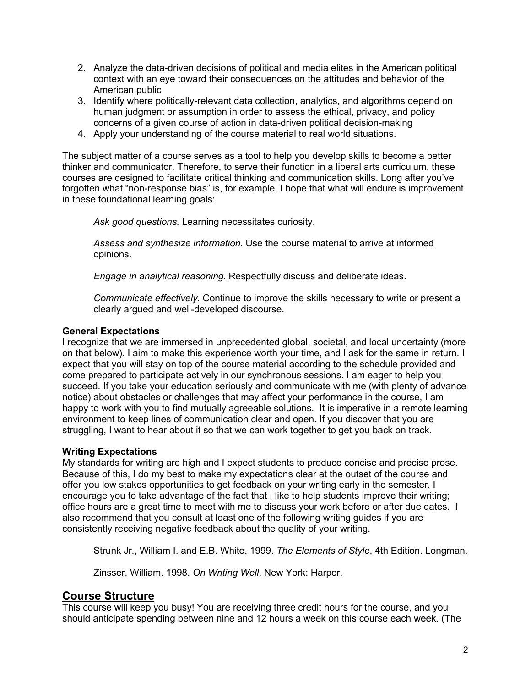- 2. Analyze the data-driven decisions of political and media elites in the American political context with an eye toward their consequences on the attitudes and behavior of the American public
- 3. Identify where politically-relevant data collection, analytics, and algorithms depend on human judgment or assumption in order to assess the ethical, privacy, and policy concerns of a given course of action in data-driven political decision-making
- 4. Apply your understanding of the course material to real world situations.

The subject matter of a course serves as a tool to help you develop skills to become a better thinker and communicator. Therefore, to serve their function in a liberal arts curriculum, these courses are designed to facilitate critical thinking and communication skills. Long after you've forgotten what "non-response bias" is, for example, I hope that what will endure is improvement in these foundational learning goals:

*Ask good questions.* Learning necessitates curiosity.

*Assess and synthesize information.* Use the course material to arrive at informed opinions.

*Engage in analytical reasoning.* Respectfully discuss and deliberate ideas.

*Communicate effectively.* Continue to improve the skills necessary to write or present a clearly argued and well-developed discourse.

## **General Expectations**

I recognize that we are immersed in unprecedented global, societal, and local uncertainty (more on that below). I aim to make this experience worth your time, and I ask for the same in return. I expect that you will stay on top of the course material according to the schedule provided and come prepared to participate actively in our synchronous sessions. I am eager to help you succeed. If you take your education seriously and communicate with me (with plenty of advance notice) about obstacles or challenges that may affect your performance in the course, I am happy to work with you to find mutually agreeable solutions. It is imperative in a remote learning environment to keep lines of communication clear and open. If you discover that you are struggling, I want to hear about it so that we can work together to get you back on track.

## **Writing Expectations**

My standards for writing are high and I expect students to produce concise and precise prose. Because of this, I do my best to make my expectations clear at the outset of the course and offer you low stakes opportunities to get feedback on your writing early in the semester. I encourage you to take advantage of the fact that I like to help students improve their writing; office hours are a great time to meet with me to discuss your work before or after due dates. I also recommend that you consult at least one of the following writing guides if you are consistently receiving negative feedback about the quality of your writing.

Strunk Jr., William I. and E.B. White. 1999. *The Elements of Style*, 4th Edition. Longman.

Zinsser, William. 1998. *On Writing Well*. New York: Harper.

# **Course Structure**

This course will keep you busy! You are receiving three credit hours for the course, and you should anticipate spending between nine and 12 hours a week on this course each week. (The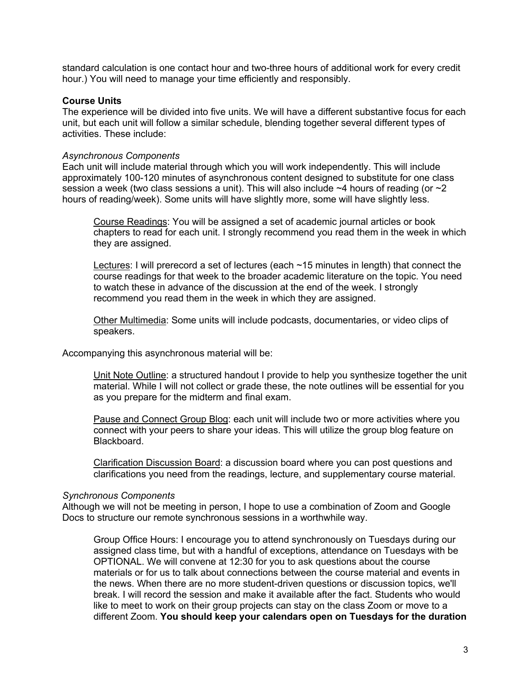standard calculation is one contact hour and two-three hours of additional work for every credit hour.) You will need to manage your time efficiently and responsibly.

#### **Course Units**

The experience will be divided into five units. We will have a different substantive focus for each unit, but each unit will follow a similar schedule, blending together several different types of activities. These include:

#### *Asynchronous Components*

Each unit will include material through which you will work independently. This will include approximately 100-120 minutes of asynchronous content designed to substitute for one class session a week (two class sessions a unit). This will also include  $\sim$ 4 hours of reading (or  $\sim$ 2 hours of reading/week). Some units will have slightly more, some will have slightly less.

Course Readings: You will be assigned a set of academic journal articles or book chapters to read for each unit. I strongly recommend you read them in the week in which they are assigned.

Lectures: I will prerecord a set of lectures (each ~15 minutes in length) that connect the course readings for that week to the broader academic literature on the topic. You need to watch these in advance of the discussion at the end of the week. I strongly recommend you read them in the week in which they are assigned.

Other Multimedia: Some units will include podcasts, documentaries, or video clips of speakers.

Accompanying this asynchronous material will be:

Unit Note Outline: a structured handout I provide to help you synthesize together the unit material. While I will not collect or grade these, the note outlines will be essential for you as you prepare for the midterm and final exam.

Pause and Connect Group Blog: each unit will include two or more activities where you connect with your peers to share your ideas. This will utilize the group blog feature on Blackboard.

Clarification Discussion Board: a discussion board where you can post questions and clarifications you need from the readings, lecture, and supplementary course material.

#### *Synchronous Components*

Although we will not be meeting in person, I hope to use a combination of Zoom and Google Docs to structure our remote synchronous sessions in a worthwhile way.

Group Office Hours: I encourage you to attend synchronously on Tuesdays during our assigned class time, but with a handful of exceptions, attendance on Tuesdays with be OPTIONAL. We will convene at 12:30 for you to ask questions about the course materials or for us to talk about connections between the course material and events in the news. When there are no more student-driven questions or discussion topics, we'll break. I will record the session and make it available after the fact. Students who would like to meet to work on their group projects can stay on the class Zoom or move to a different Zoom. **You should keep your calendars open on Tuesdays for the duration**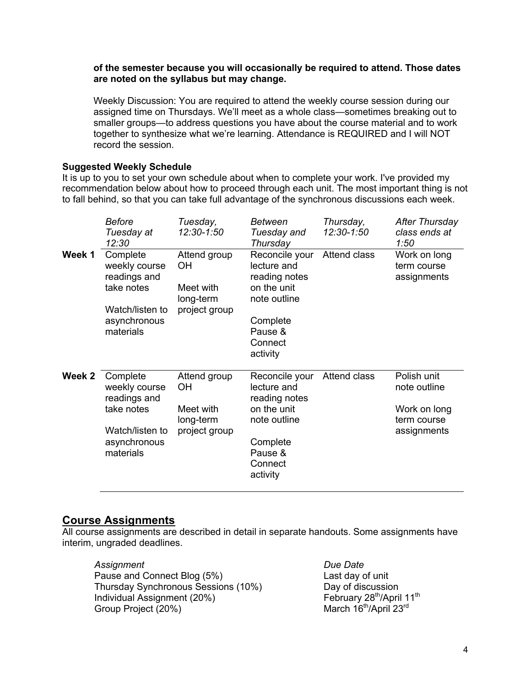#### **of the semester because you will occasionally be required to attend. Those dates are noted on the syllabus but may change.**

Weekly Discussion: You are required to attend the weekly course session during our assigned time on Thursdays. We'll meet as a whole class—sometimes breaking out to smaller groups—to address questions you have about the course material and to work together to synthesize what we're learning. Attendance is REQUIRED and I will NOT record the session.

## **Suggested Weekly Schedule**

It is up to you to set your own schedule about when to complete your work. I've provided my recommendation below about how to proceed through each unit. The most important thing is not to fall behind, so that you can take full advantage of the synchronous discussions each week.

|        | <b>Before</b><br>Tuesday at<br>12:30                                                                    | Tuesday,<br>12:30-1:50                                        | <b>Between</b><br>Tuesday and<br>Thursday                                                                                   | Thursday,<br>12:30-1:50 | After Thursday<br>class ends at<br>1:50                                   |
|--------|---------------------------------------------------------------------------------------------------------|---------------------------------------------------------------|-----------------------------------------------------------------------------------------------------------------------------|-------------------------|---------------------------------------------------------------------------|
| Week 1 | Complete<br>weekly course<br>readings and<br>take notes<br>Watch/listen to<br>asynchronous<br>materials | Attend group<br>ОH<br>Meet with<br>long-term<br>project group | Reconcile your<br>lecture and<br>reading notes<br>on the unit<br>note outline<br>Complete<br>Pause &<br>Connect<br>activity | Attend class            | Work on long<br>term course<br>assignments                                |
| Week 2 | Complete<br>weekly course<br>readings and<br>take notes<br>Watch/listen to<br>asynchronous<br>materials | Attend group<br>ОH<br>Meet with<br>long-term<br>project group | Reconcile your<br>lecture and<br>reading notes<br>on the unit<br>note outline<br>Complete<br>Pause &<br>Connect<br>activity | Attend class            | Polish unit<br>note outline<br>Work on long<br>term course<br>assignments |

# **Course Assignments**

All course assignments are described in detail in separate handouts. Some assignments have interim, ungraded deadlines.

*Assignment Due Date* Pause and Connect Blog (5%)<br>
Thursday Synchronous Sessions (10%) Day of discussion Thursday Synchronous Sessions (10%) Day of discussion<br>
Individual Assignment (20%) February 28<sup>th</sup>/April 11<sup>th</sup> Individual Assignment (20%)<br>
Group Project (20%)<br>
March 16<sup>th</sup>/April 23<sup>rd</sup><br>
March 16<sup>th</sup>/April 23<sup>rd</sup> Group Project (20%)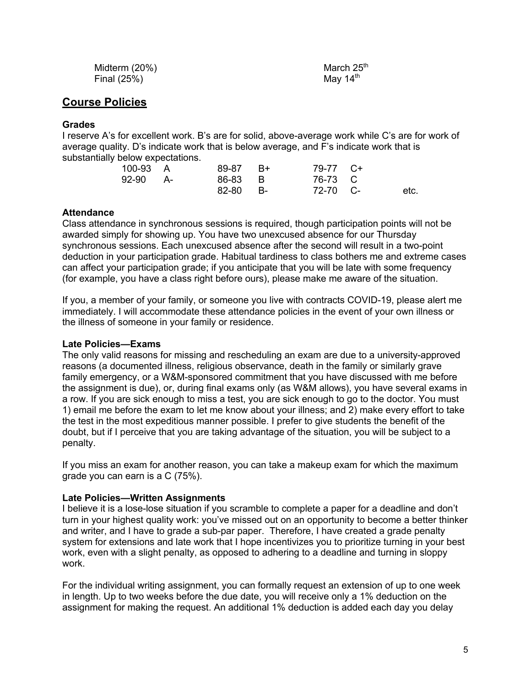| Midterm (20%) | March 25 <sup>th</sup> |
|---------------|------------------------|
| Final $(25%)$ | May $14th$             |

# **Course Policies**

### **Grades**

I reserve A's for excellent work. B's are for solid, above-average work while C's are for work of average quality. D's indicate work that is below average, and F's indicate work that is substantially below expectations.

| 100-93 A | 89-87 B+ | 79-77 C+ |      |
|----------|----------|----------|------|
| 92-90 A- | 86-83 B  | 76-73 C  |      |
|          | 82-80 B- | 72-70 C- | etc. |

### **Attendance**

Class attendance in synchronous sessions is required, though participation points will not be awarded simply for showing up. You have two unexcused absence for our Thursday synchronous sessions. Each unexcused absence after the second will result in a two-point deduction in your participation grade. Habitual tardiness to class bothers me and extreme cases can affect your participation grade; if you anticipate that you will be late with some frequency (for example, you have a class right before ours), please make me aware of the situation.

If you, a member of your family, or someone you live with contracts COVID-19, please alert me immediately. I will accommodate these attendance policies in the event of your own illness or the illness of someone in your family or residence.

#### **Late Policies—Exams**

The only valid reasons for missing and rescheduling an exam are due to a university-approved reasons (a documented illness, religious observance, death in the family or similarly grave family emergency, or a W&M-sponsored commitment that you have discussed with me before the assignment is due), or, during final exams only (as W&M allows), you have several exams in a row. If you are sick enough to miss a test, you are sick enough to go to the doctor. You must 1) email me before the exam to let me know about your illness; and 2) make every effort to take the test in the most expeditious manner possible. I prefer to give students the benefit of the doubt, but if I perceive that you are taking advantage of the situation, you will be subject to a penalty.

If you miss an exam for another reason, you can take a makeup exam for which the maximum grade you can earn is a C (75%).

## **Late Policies—Written Assignments**

I believe it is a lose-lose situation if you scramble to complete a paper for a deadline and don't turn in your highest quality work: you've missed out on an opportunity to become a better thinker and writer, and I have to grade a sub-par paper. Therefore, I have created a grade penalty system for extensions and late work that I hope incentivizes you to prioritize turning in your best work, even with a slight penalty, as opposed to adhering to a deadline and turning in sloppy work.

For the individual writing assignment, you can formally request an extension of up to one week in length. Up to two weeks before the due date, you will receive only a 1% deduction on the assignment for making the request. An additional 1% deduction is added each day you delay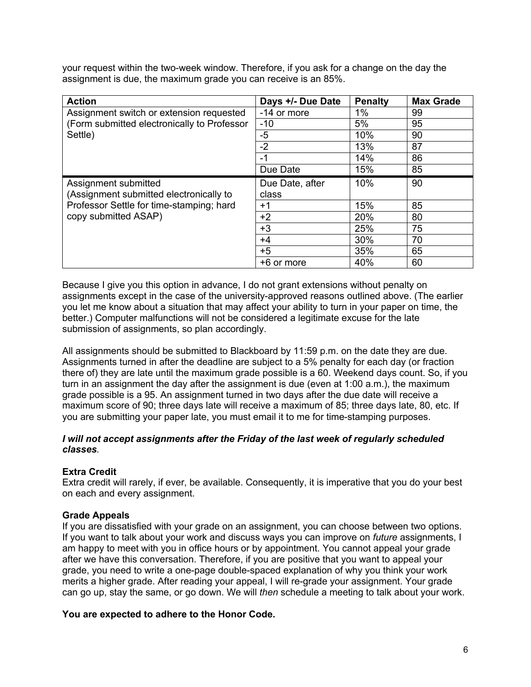your request within the two-week window. Therefore, if you ask for a change on the day the assignment is due, the maximum grade you can receive is an 85%.

| <b>Action</b>                               | Days +/- Due Date | <b>Penalty</b> | <b>Max Grade</b> |
|---------------------------------------------|-------------------|----------------|------------------|
| Assignment switch or extension requested    | -14 or more       | 1%             | 99               |
| (Form submitted electronically to Professor | $-10$             | 5%             | 95               |
| Settle)                                     | $-5$              | 10%            | 90               |
|                                             | $-2$              | 13%            | 87               |
|                                             | $-1$              | 14%            | 86               |
|                                             | Due Date          | 15%            | 85               |
| Assignment submitted                        | Due Date, after   | 10%            | 90               |
| (Assignment submitted electronically to     | class             |                |                  |
| Professor Settle for time-stamping; hard    | $+1$              | 15%            | 85               |
| copy submitted ASAP)                        | $+2$              | 20%            | 80               |
|                                             | $+3$              | 25%            | 75               |
|                                             | $+4$              | 30%            | 70               |
|                                             | $+5$              | 35%            | 65               |
|                                             | +6 or more        | 40%            | 60               |

Because I give you this option in advance, I do not grant extensions without penalty on assignments except in the case of the university-approved reasons outlined above. (The earlier you let me know about a situation that may affect your ability to turn in your paper on time, the better.) Computer malfunctions will not be considered a legitimate excuse for the late submission of assignments, so plan accordingly.

All assignments should be submitted to Blackboard by 11:59 p.m. on the date they are due. Assignments turned in after the deadline are subject to a 5% penalty for each day (or fraction there of) they are late until the maximum grade possible is a 60. Weekend days count. So, if you turn in an assignment the day after the assignment is due (even at 1:00 a.m.), the maximum grade possible is a 95. An assignment turned in two days after the due date will receive a maximum score of 90; three days late will receive a maximum of 85; three days late, 80, etc. If you are submitting your paper late, you must email it to me for time-stamping purposes.

## *I will not accept assignments after the Friday of the last week of regularly scheduled classes.*

# **Extra Credit**

Extra credit will rarely, if ever, be available. Consequently, it is imperative that you do your best on each and every assignment.

## **Grade Appeals**

If you are dissatisfied with your grade on an assignment, you can choose between two options. If you want to talk about your work and discuss ways you can improve on *future* assignments, I am happy to meet with you in office hours or by appointment. You cannot appeal your grade after we have this conversation. Therefore, if you are positive that you want to appeal your grade, you need to write a one-page double-spaced explanation of why you think your work merits a higher grade. After reading your appeal, I will re-grade your assignment. Your grade can go up, stay the same, or go down. We will *then* schedule a meeting to talk about your work.

## **You are expected to adhere to the Honor Code.**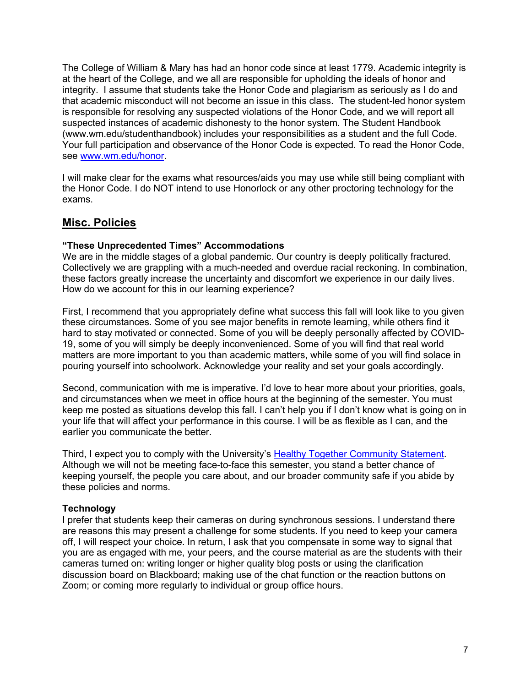The College of William & Mary has had an honor code since at least 1779. Academic integrity is at the heart of the College, and we all are responsible for upholding the ideals of honor and integrity. I assume that students take the Honor Code and plagiarism as seriously as I do and that academic misconduct will not become an issue in this class. The student-led honor system is responsible for resolving any suspected violations of the Honor Code, and we will report all suspected instances of academic dishonesty to the honor system. The Student Handbook (www.wm.edu/studenthandbook) includes your responsibilities as a student and the full Code. Your full participation and observance of the Honor Code is expected. To read the Honor Code, see www.wm.edu/honor.

I will make clear for the exams what resources/aids you may use while still being compliant with the Honor Code. I do NOT intend to use Honorlock or any other proctoring technology for the exams.

# **Misc. Policies**

### **"These Unprecedented Times" Accommodations**

We are in the middle stages of a global pandemic. Our country is deeply politically fractured. Collectively we are grappling with a much-needed and overdue racial reckoning. In combination, these factors greatly increase the uncertainty and discomfort we experience in our daily lives. How do we account for this in our learning experience?

First, I recommend that you appropriately define what success this fall will look like to you given these circumstances. Some of you see major benefits in remote learning, while others find it hard to stay motivated or connected. Some of you will be deeply personally affected by COVID-19, some of you will simply be deeply inconvenienced. Some of you will find that real world matters are more important to you than academic matters, while some of you will find solace in pouring yourself into schoolwork. Acknowledge your reality and set your goals accordingly.

Second, communication with me is imperative. I'd love to hear more about your priorities, goals, and circumstances when we meet in office hours at the beginning of the semester. You must keep me posted as situations develop this fall. I can't help you if I don't know what is going on in your life that will affect your performance in this course. I will be as flexible as I can, and the earlier you communicate the better.

Third, I expect you to comply with the University's Healthy Together Community Statement. Although we will not be meeting face-to-face this semester, you stand a better chance of keeping yourself, the people you care about, and our broader community safe if you abide by these policies and norms.

## **Technology**

I prefer that students keep their cameras on during synchronous sessions. I understand there are reasons this may present a challenge for some students. If you need to keep your camera off, I will respect your choice. In return, I ask that you compensate in some way to signal that you are as engaged with me, your peers, and the course material as are the students with their cameras turned on: writing longer or higher quality blog posts or using the clarification discussion board on Blackboard; making use of the chat function or the reaction buttons on Zoom; or coming more regularly to individual or group office hours.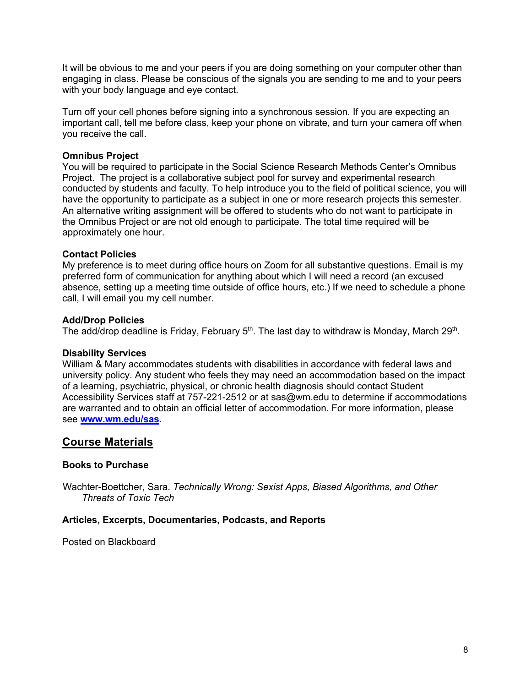It will be obvious to me and your peers if you are doing something on your computer other than engaging in class. Please be conscious of the signals you are sending to me and to your peers with your body language and eye contact.

Turn off your cell phones before signing into a synchronous session. If you are expecting an important call, tell me before class, keep your phone on vibrate, and turn your camera off when you receive the call.

### **Omnibus Project**

You will be required to participate in the Social Science Research Methods Center's Omnibus Project. The project is a collaborative subject pool for survey and experimental research conducted by students and faculty. To help introduce you to the field of political science, you will have the opportunity to participate as a subject in one or more research projects this semester. An alternative writing assignment will be offered to students who do not want to participate in the Omnibus Project or are not old enough to participate. The total time required will be approximately one hour.

### **Contact Policies**

My preference is to meet during office hours on Zoom for all substantive questions. Email is my preferred form of communication for anything about which I will need a record (an excused absence, setting up a meeting time outside of office hours, etc.) If we need to schedule a phone call, I will email you my cell number.

### **Add/Drop Policies**

The add/drop deadline is Friday, February  $5<sup>th</sup>$ . The last day to withdraw is Monday, March 29<sup>th</sup>.

#### **Disability Services**

William & Mary accommodates students with disabilities in accordance with federal laws and university policy. Any student who feels they may need an accommodation based on the impact of a learning, psychiatric, physical, or chronic health diagnosis should contact Student Accessibility Services staff at 757-221-2512 or at sas@wm.edu to determine if accommodations are warranted and to obtain an official letter of accommodation. For more information, please see **www.wm.edu/sas**.

# **Course Materials**

#### **Books to Purchase**

Wachter-Boettcher, Sara. *Technically Wrong: Sexist Apps, Biased Algorithms, and Other Threats of Toxic Tech*

#### **Articles, Excerpts, Documentaries, Podcasts, and Reports**

Posted on Blackboard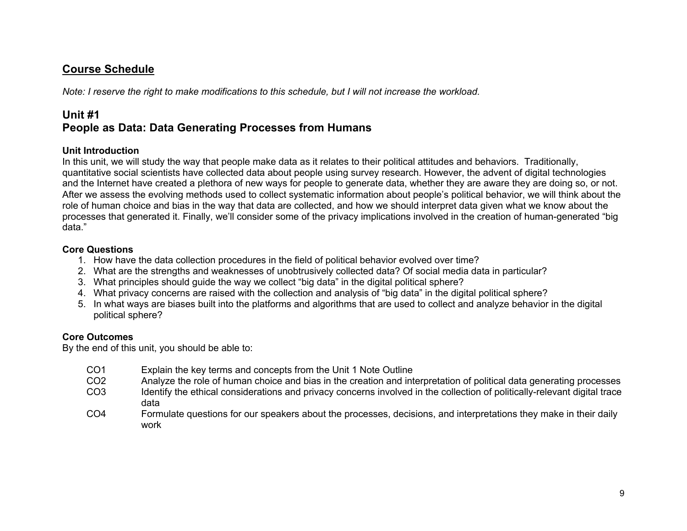# **Course Schedule**

*Note: I reserve the right to make modifications to this schedule, but I will not increase the workload.* 

# **Unit #1 People as Data: Data Generating Processes from Humans**

## **Unit Introduction**

In this unit, we will study the way that people make data as it relates to their political attitudes and behaviors. Traditionally, quantitative social scientists have collected data about people using survey research. However, the advent of digital technologies and the Internet have created a plethora of new ways for people to generate data, whether they are aware they are doing so, or not. After we assess the evolving methods used to collect systematic information about people's political behavior, we will think about the role of human choice and bias in the way that data are collected, and how we should interpret data given what we know about the processes that generated it. Finally, we'll consider some of the privacy implications involved in the creation of human-generated "big data."

### **Core Questions**

- 1. How have the data collection procedures in the field of political behavior evolved over time?
- 2. What are the strengths and weaknesses of unobtrusively collected data? Of social media data in particular?
- 3. What principles should guide the way we collect "big data" in the digital political sphere?
- 4. What privacy concerns are raised with the collection and analysis of "big data" in the digital political sphere?
- 5. In what ways are biases built into the platforms and algorithms that are used to collect and analyze behavior in the digital political sphere?

## **Core Outcomes**

By the end of this unit, you should be able to:

- CO1 Explain the key terms and concepts from the Unit 1 Note Outline
- CO2 Analyze the role of human choice and bias in the creation and interpretation of political data generating processes
- CO3 Identify the ethical considerations and privacy concerns involved in the collection of politically-relevant digital trace data
- CO4 Formulate questions for our speakers about the processes, decisions, and interpretations they make in their daily work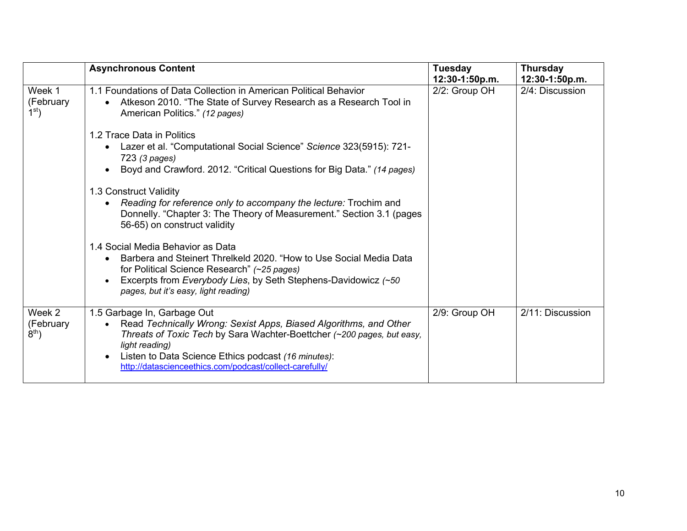|                                        | <b>Asynchronous Content</b>                                                                                                                                                                                                                                                                                                              | <b>Tuesday</b><br>12:30-1:50p.m. | <b>Thursday</b><br>12:30-1:50p.m. |
|----------------------------------------|------------------------------------------------------------------------------------------------------------------------------------------------------------------------------------------------------------------------------------------------------------------------------------------------------------------------------------------|----------------------------------|-----------------------------------|
| Week 1<br>(February<br>1 <sup>st</sup> | 1.1 Foundations of Data Collection in American Political Behavior<br>Atkeson 2010. "The State of Survey Research as a Research Tool in<br>$\bullet$<br>American Politics." (12 pages)                                                                                                                                                    | 2/2: Group OH                    | 2/4: Discussion                   |
|                                        | 1.2 Trace Data in Politics<br>Lazer et al. "Computational Social Science" Science 323(5915): 721-<br>723 (3 pages)<br>Boyd and Crawford. 2012. "Critical Questions for Big Data." (14 pages)                                                                                                                                             |                                  |                                   |
|                                        | 1.3 Construct Validity<br>Reading for reference only to accompany the lecture: Trochim and<br>Donnelly. "Chapter 3: The Theory of Measurement." Section 3.1 (pages<br>56-65) on construct validity                                                                                                                                       |                                  |                                   |
|                                        | 1.4 Social Media Behavior as Data<br>Barbera and Steinert Threlkeld 2020. "How to Use Social Media Data<br>for Political Science Research" (~25 pages)<br>Excerpts from Everybody Lies, by Seth Stephens-Davidowicz (~50<br>pages, but it's easy, light reading)                                                                         |                                  |                                   |
| Week 2<br>(February<br>$8th$ )         | 1.5 Garbage In, Garbage Out<br>Read Technically Wrong: Sexist Apps, Biased Algorithms, and Other<br>$\bullet$<br>Threats of Toxic Tech by Sara Wachter-Boettcher (~200 pages, but easy,<br>light reading)<br>Listen to Data Science Ethics podcast (16 minutes):<br>$\bullet$<br>http://datascienceethics.com/podcast/collect-carefully/ | 2/9: Group OH                    | 2/11: Discussion                  |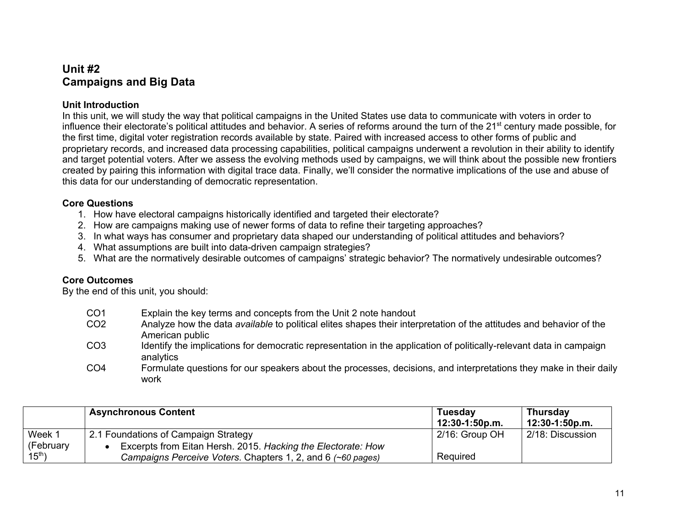# **Unit #2 Campaigns and Big Data**

## **Unit Introduction**

In this unit, we will study the way that political campaigns in the United States use data to communicate with voters in order to influence their electorate's political attitudes and behavior. A series of reforms around the turn of the 21<sup>st</sup> century made possible, for the first time, digital voter registration records available by state. Paired with increased access to other forms of public and proprietary records, and increased data processing capabilities, political campaigns underwent a revolution in their ability to identify and target potential voters. After we assess the evolving methods used by campaigns, we will think about the possible new frontiers created by pairing this information with digital trace data. Finally, we'll consider the normative implications of the use and abuse of this data for our understanding of democratic representation.

### **Core Questions**

- 1. How have electoral campaigns historically identified and targeted their electorate?
- 2. How are campaigns making use of newer forms of data to refine their targeting approaches?
- 3. In what ways has consumer and proprietary data shaped our understanding of political attitudes and behaviors?
- 4. What assumptions are built into data-driven campaign strategies?
- 5. What are the normatively desirable outcomes of campaigns' strategic behavior? The normatively undesirable outcomes?

## **Core Outcomes**

- CO1 Explain the key terms and concepts from the Unit 2 note handout CO2 Analyze how the data *available* to political elites shapes their interpretation of the attitudes and behavior of the American public
- CO3 Identify the implications for democratic representation in the application of politically-relevant data in campaign analytics
- CO4 Formulate questions for our speakers about the processes, decisions, and interpretations they make in their daily work

|             | <b>Asynchronous Content</b>                                  | Tuesday<br>12:30-1:50p.m. | <b>Thursday</b><br>12:30-1:50p.m. |
|-------------|--------------------------------------------------------------|---------------------------|-----------------------------------|
| Week 1      | 2.1 Foundations of Campaign Strategy                         | $2/16$ : Group OH         | 2/18: Discussion                  |
| (February   | Excerpts from Eitan Hersh. 2015. Hacking the Electorate: How |                           |                                   |
| $15^{th}$ ) | Campaigns Perceive Voters. Chapters 1, 2, and 6 (~60 pages)  | Required                  |                                   |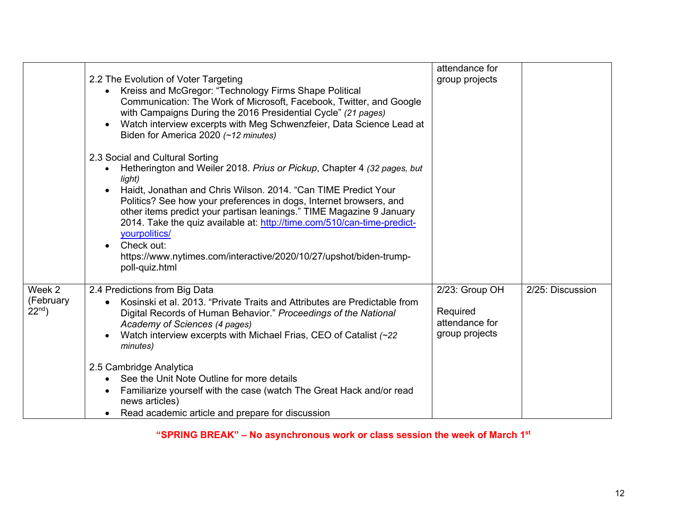|                                    |                                                                                                                                                                                                                                                                                                                                                                                                                                                                                                                                                                                                                                                                                                                                                                                                                                                                                                                                         | attendance for                                                 |                  |
|------------------------------------|-----------------------------------------------------------------------------------------------------------------------------------------------------------------------------------------------------------------------------------------------------------------------------------------------------------------------------------------------------------------------------------------------------------------------------------------------------------------------------------------------------------------------------------------------------------------------------------------------------------------------------------------------------------------------------------------------------------------------------------------------------------------------------------------------------------------------------------------------------------------------------------------------------------------------------------------|----------------------------------------------------------------|------------------|
|                                    | 2.2 The Evolution of Voter Targeting<br>Kreiss and McGregor: "Technology Firms Shape Political<br>Communication: The Work of Microsoft, Facebook, Twitter, and Google<br>with Campaigns During the 2016 Presidential Cycle" (21 pages)<br>Watch interview excerpts with Meg Schwenzfeier, Data Science Lead at<br>$\bullet$<br>Biden for America 2020 (~12 minutes)<br>2.3 Social and Cultural Sorting<br>Hetherington and Weiler 2018. Prius or Pickup, Chapter 4 (32 pages, but<br>light)<br>Haidt, Jonathan and Chris Wilson. 2014. "Can TIME Predict Your<br>$\bullet$<br>Politics? See how your preferences in dogs, Internet browsers, and<br>other items predict your partisan leanings." TIME Magazine 9 January<br>2014. Take the quiz available at: http://time.com/510/can-time-predict-<br>yourpolitics/<br>Check out:<br>$\bullet$<br>https://www.nytimes.com/interactive/2020/10/27/upshot/biden-trump-<br>poll-quiz.html | group projects                                                 |                  |
| Week 2<br>(February<br>$22^{nd}$ ) | 2.4 Predictions from Big Data<br>Kosinski et al. 2013. "Private Traits and Attributes are Predictable from<br>٠<br>Digital Records of Human Behavior." Proceedings of the National<br>Academy of Sciences (4 pages)<br>Watch interview excerpts with Michael Frias, CEO of Catalist (~22)<br>$\bullet$<br>minutes)                                                                                                                                                                                                                                                                                                                                                                                                                                                                                                                                                                                                                      | 2/23: Group OH<br>Required<br>attendance for<br>group projects | 2/25: Discussion |
|                                    | 2.5 Cambridge Analytica<br>See the Unit Note Outline for more details<br>Familiarize yourself with the case (watch The Great Hack and/or read<br>news articles)<br>Read academic article and prepare for discussion<br>$\bullet$                                                                                                                                                                                                                                                                                                                                                                                                                                                                                                                                                                                                                                                                                                        |                                                                |                  |

**"SPRING BREAK" – No asynchronous work or class session the week of March 1st**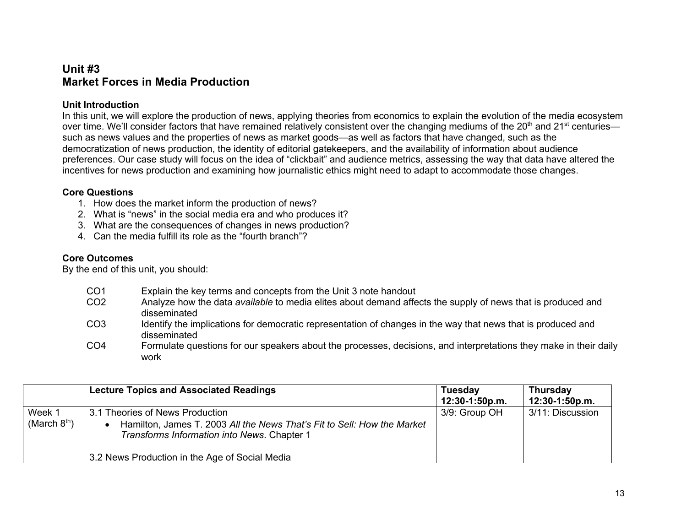# **Unit #3 Market Forces in Media Production**

## **Unit Introduction**

In this unit, we will explore the production of news, applying theories from economics to explain the evolution of the media ecosystem over time. We'll consider factors that have remained relatively consistent over the changing mediums of the 20<sup>th</sup> and 21<sup>st</sup> centuries such as news values and the properties of news as market goods—as well as factors that have changed, such as the democratization of news production, the identity of editorial gatekeepers, and the availability of information about audience preferences. Our case study will focus on the idea of "clickbait" and audience metrics, assessing the way that data have altered the incentives for news production and examining how journalistic ethics might need to adapt to accommodate those changes.

## **Core Questions**

- 1. How does the market inform the production of news?
- 2. What is "news" in the social media era and who produces it?
- 3. What are the consequences of changes in news production?
- 4. Can the media fulfill its role as the "fourth branch"?

## **Core Outcomes**

- CO1 Explain the key terms and concepts from the Unit 3 note handout
- CO2 Analyze how the data *available* to media elites about demand affects the supply of news that is produced and disseminated
- CO3 Identify the implications for democratic representation of changes in the way that news that is produced and disseminated
- CO4 Formulate questions for our speakers about the processes, decisions, and interpretations they make in their daily work

|                          | <b>Lecture Topics and Associated Readings</b>                                                                                                                                                               | <b>Tuesday</b><br>12:30-1:50p.m. | <b>Thursday</b><br>12:30-1:50p.m. |
|--------------------------|-------------------------------------------------------------------------------------------------------------------------------------------------------------------------------------------------------------|----------------------------------|-----------------------------------|
| Week 1<br>(March $8th$ ) | 3.1 Theories of News Production<br>Hamilton, James T. 2003 All the News That's Fit to Sell: How the Market<br>Transforms Information into News. Chapter 1<br>3.2 News Production in the Age of Social Media | 3/9: Group OH                    | 3/11: Discussion                  |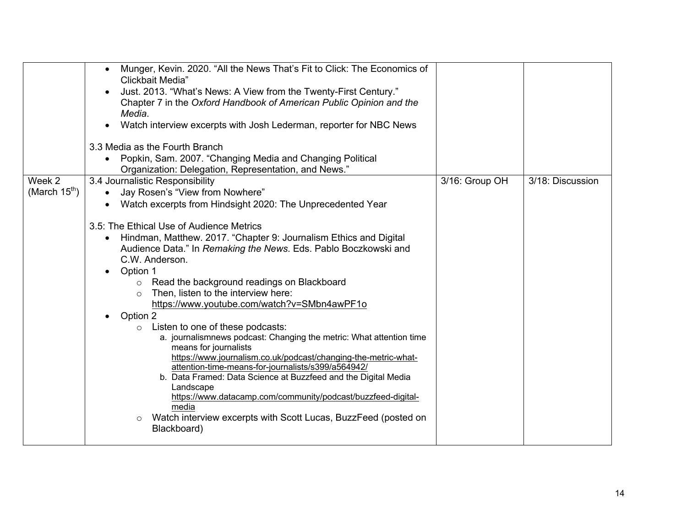|                              | Munger, Kevin. 2020. "All the News That's Fit to Click: The Economics of<br>$\bullet$<br>Clickbait Media"<br>Just. 2013. "What's News: A View from the Twenty-First Century."<br>Chapter 7 in the Oxford Handbook of American Public Opinion and the<br>Media.<br>Watch interview excerpts with Josh Lederman, reporter for NBC News<br>$\bullet$<br>3.3 Media as the Fourth Branch<br>Popkin, Sam. 2007. "Changing Media and Changing Political<br>Organization: Delegation, Representation, and News."                                                                                                                                                                                                                                                                                                                                                                                                                                                                                                                                                              |                |                  |
|------------------------------|-----------------------------------------------------------------------------------------------------------------------------------------------------------------------------------------------------------------------------------------------------------------------------------------------------------------------------------------------------------------------------------------------------------------------------------------------------------------------------------------------------------------------------------------------------------------------------------------------------------------------------------------------------------------------------------------------------------------------------------------------------------------------------------------------------------------------------------------------------------------------------------------------------------------------------------------------------------------------------------------------------------------------------------------------------------------------|----------------|------------------|
| Week 2<br>(March $15^{th}$ ) | 3.4 Journalistic Responsibility<br>Jay Rosen's "View from Nowhere"<br>Watch excerpts from Hindsight 2020: The Unprecedented Year<br>3.5: The Ethical Use of Audience Metrics<br>Hindman, Matthew. 2017. "Chapter 9: Journalism Ethics and Digital<br>٠<br>Audience Data." In Remaking the News. Eds. Pablo Boczkowski and<br>C.W. Anderson.<br>Option 1<br>Read the background readings on Blackboard<br>$\circ$<br>Then, listen to the interview here:<br>$\circ$<br>https://www.youtube.com/watch?v=SMbn4awPF1o<br>Option 2<br>$\bullet$<br>Listen to one of these podcasts:<br>$\circ$<br>a. journalismnews podcast: Changing the metric: What attention time<br>means for journalists<br>https://www.journalism.co.uk/podcast/changing-the-metric-what-<br>attention-time-means-for-journalists/s399/a564942/<br>b. Data Framed: Data Science at Buzzfeed and the Digital Media<br>Landscape<br>https://www.datacamp.com/community/podcast/buzzfeed-digital-<br>media<br>Watch interview excerpts with Scott Lucas, BuzzFeed (posted on<br>$\circ$<br>Blackboard) | 3/16: Group OH | 3/18: Discussion |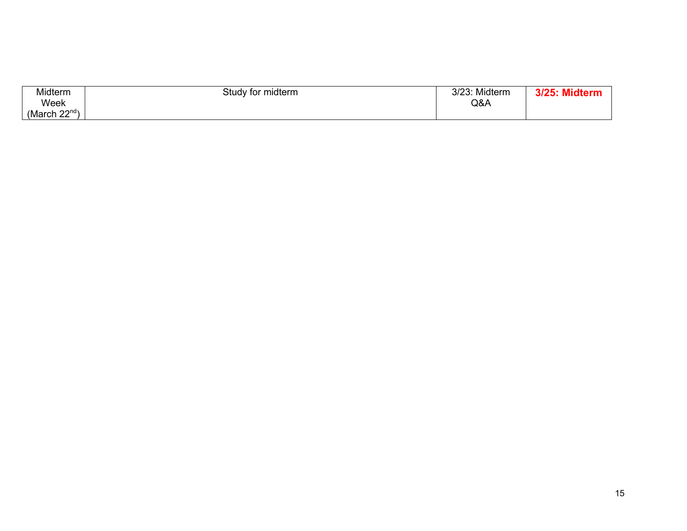| Midterm            | Study for midterm | יממו מ<br>Midterm<br>31 Z 3 | <b>Midton</b><br>010E <sub>1</sub> |
|--------------------|-------------------|-----------------------------|------------------------------------|
| Week               |                   | Q&A                         |                                    |
| (March $22^{nd}$ ) |                   |                             |                                    |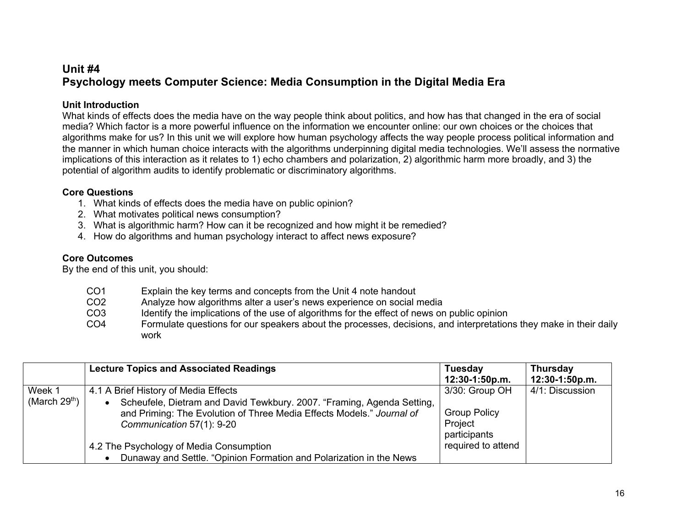# **Unit #4 Psychology meets Computer Science: Media Consumption in the Digital Media Era**

# **Unit Introduction**

What kinds of effects does the media have on the way people think about politics, and how has that changed in the era of social media? Which factor is a more powerful influence on the information we encounter online: our own choices or the choices that algorithms make for us? In this unit we will explore how human psychology affects the way people process political information and the manner in which human choice interacts with the algorithms underpinning digital media technologies. We'll assess the normative implications of this interaction as it relates to 1) echo chambers and polarization, 2) algorithmic harm more broadly, and 3) the potential of algorithm audits to identify problematic or discriminatory algorithms.

## **Core Questions**

- 1. What kinds of effects does the media have on public opinion?
- 2. What motivates political news consumption?
- 3. What is algorithmic harm? How can it be recognized and how might it be remedied?
- 4. How do algorithms and human psychology interact to affect news exposure?

## **Core Outcomes**

| CO <sub>1</sub> | Explain the key terms and concepts from the Unit 4 note handout                                                   |
|-----------------|-------------------------------------------------------------------------------------------------------------------|
| CO <sub>2</sub> | Analyze how algorithms alter a user's news experience on social media                                             |
| CO <sub>3</sub> | Identify the implications of the use of algorithms for the effect of news on public opinion                       |
| CO <sub>4</sub> | Formulate questions for our speakers about the processes, decisions, and interpretations they make in their daily |
|                 | work                                                                                                              |

|                 | <b>Lecture Topics and Associated Readings</b>                          | <b>Tuesday</b>      | <b>Thursday</b> |
|-----------------|------------------------------------------------------------------------|---------------------|-----------------|
|                 |                                                                        | 12:30-1:50p.m.      | 12:30-1:50p.m.  |
| Week 1          | 4.1 A Brief History of Media Effects                                   | 3/30: Group OH      | 4/1: Discussion |
| (March $29th$ ) | Scheufele, Dietram and David Tewkbury. 2007. "Framing, Agenda Setting, |                     |                 |
|                 | and Priming: The Evolution of Three Media Effects Models." Journal of  | <b>Group Policy</b> |                 |
|                 | Communication 57(1): 9-20                                              | Project             |                 |
|                 |                                                                        | participants        |                 |
|                 | 4.2 The Psychology of Media Consumption                                | required to attend  |                 |
|                 | Dunaway and Settle. "Opinion Formation and Polarization in the News    |                     |                 |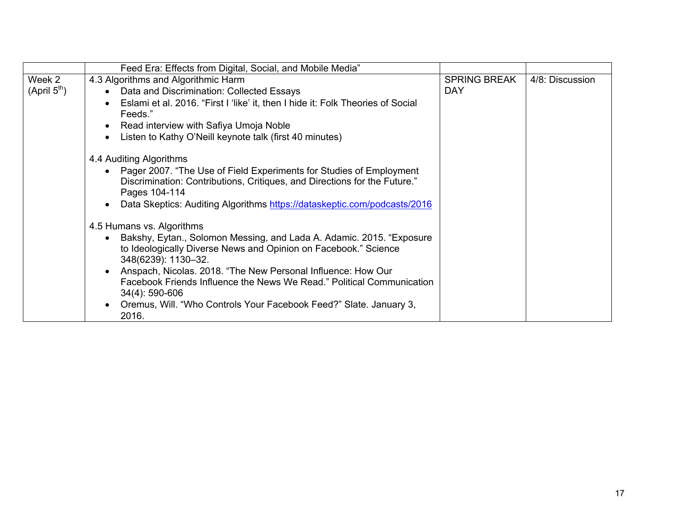|                          | Feed Era: Effects from Digital, Social, and Mobile Media"                                               |                     |                 |
|--------------------------|---------------------------------------------------------------------------------------------------------|---------------------|-----------------|
| Week 2                   | 4.3 Algorithms and Algorithmic Harm                                                                     | <b>SPRING BREAK</b> | 4/8: Discussion |
| (April 5 <sup>th</sup> ) | Data and Discrimination: Collected Essays<br>$\bullet$                                                  | <b>DAY</b>          |                 |
|                          | Eslami et al. 2016. "First I 'like' it, then I hide it: Folk Theories of Social<br>$\bullet$<br>Feeds." |                     |                 |
|                          | Read interview with Safiya Umoja Noble<br>$\bullet$                                                     |                     |                 |
|                          | Listen to Kathy O'Neill keynote talk (first 40 minutes)                                                 |                     |                 |
|                          | 4.4 Auditing Algorithms                                                                                 |                     |                 |
|                          | Pager 2007. "The Use of Field Experiments for Studies of Employment<br>$\bullet$                        |                     |                 |
|                          | Discrimination: Contributions, Critiques, and Directions for the Future."<br>Pages 104-114              |                     |                 |
|                          | Data Skeptics: Auditing Algorithms https://dataskeptic.com/podcasts/2016                                |                     |                 |
|                          | 4.5 Humans vs. Algorithms                                                                               |                     |                 |
|                          | Bakshy, Eytan., Solomon Messing, and Lada A. Adamic. 2015. "Exposure<br>$\bullet$                       |                     |                 |
|                          | to Ideologically Diverse News and Opinion on Facebook." Science<br>348(6239): 1130-32.                  |                     |                 |
|                          | Anspach, Nicolas. 2018. "The New Personal Influence: How Our<br>$\bullet$                               |                     |                 |
|                          | Facebook Friends Influence the News We Read." Political Communication                                   |                     |                 |
|                          | 34(4): 590-606                                                                                          |                     |                 |
|                          | Oremus, Will. "Who Controls Your Facebook Feed?" Slate. January 3,<br>$\bullet$<br>2016.                |                     |                 |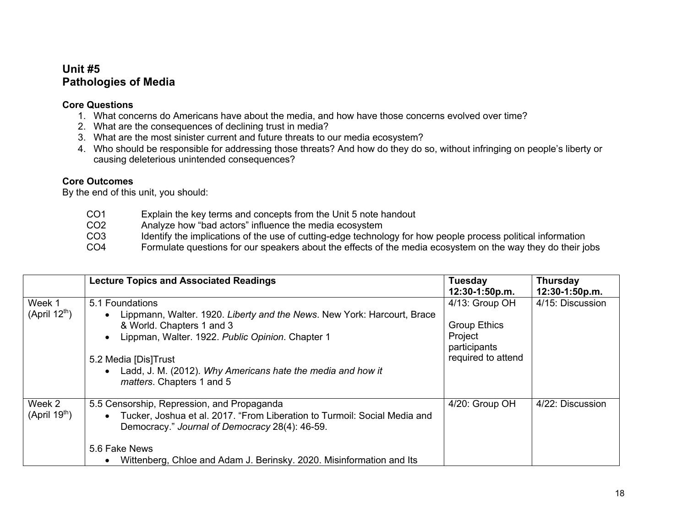# **Unit #5 Pathologies of Media**

# **Core Questions**

- 1. What concerns do Americans have about the media, and how have those concerns evolved over time?
- 2. What are the consequences of declining trust in media?
- 3. What are the most sinister current and future threats to our media ecosystem?
- 4. Who should be responsible for addressing those threats? And how do they do so, without infringing on people's liberty or causing deleterious unintended consequences?

# **Core Outcomes**

| CO1             | Explain the key terms and concepts from the Unit 5 note handout                                              |
|-----------------|--------------------------------------------------------------------------------------------------------------|
| CO <sub>2</sub> | Analyze how "bad actors" influence the media ecosystem                                                       |
| CO3             | Identify the implications of the use of cutting-edge technology for how people process political information |
| CO4             | Formulate questions for our speakers about the effects of the media ecosystem on the way they do their jobs  |

|                                     | <b>Lecture Topics and Associated Readings</b>                                                                                                                                                                                                                                                                                          | <b>Tuesday</b><br>12:30-1:50p.m.                                                       | <b>Thursday</b><br>12:30-1:50p.m. |
|-------------------------------------|----------------------------------------------------------------------------------------------------------------------------------------------------------------------------------------------------------------------------------------------------------------------------------------------------------------------------------------|----------------------------------------------------------------------------------------|-----------------------------------|
| Week 1<br>(April 12 <sup>th</sup> ) | 5.1 Foundations<br>Lippmann, Walter. 1920. Liberty and the News. New York: Harcourt, Brace<br>$\bullet$<br>& World. Chapters 1 and 3<br>Lippman, Walter. 1922. Public Opinion. Chapter 1<br>$\bullet$<br>5.2 Media [Dis]Trust<br>Ladd, J. M. (2012). Why Americans hate the media and how it<br>$\bullet$<br>matters. Chapters 1 and 5 | 4/13: Group OH<br><b>Group Ethics</b><br>Project<br>participants<br>required to attend | 4/15: Discussion                  |
| Week 2<br>(April 19 <sup>th</sup> ) | 5.5 Censorship, Repression, and Propaganda<br>Tucker, Joshua et al. 2017. "From Liberation to Turmoil: Social Media and<br>$\bullet$<br>Democracy." Journal of Democracy 28(4): 46-59.<br>5.6 Fake News<br>Wittenberg, Chloe and Adam J. Berinsky. 2020. Misinformation and Its<br>$\bullet$                                           | 4/20: Group OH                                                                         | 4/22: Discussion                  |